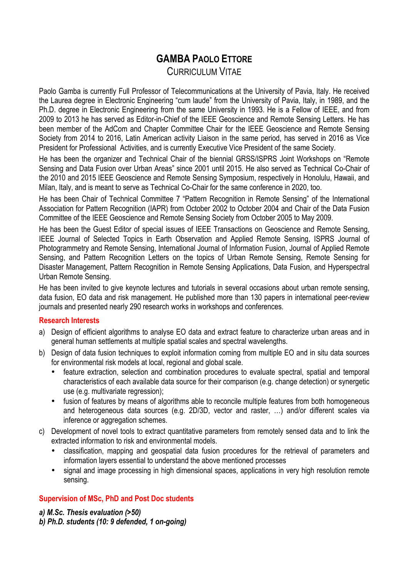# **GAMBA PAOLO ETTORE** CURRICULUM VITAE

Paolo Gamba is currently Full Professor of Telecommunications at the University of Pavia, Italy. He received the Laurea degree in Electronic Engineering "cum laude" from the University of Pavia, Italy, in 1989, and the Ph.D. degree in Electronic Engineering from the same University in 1993. He is a Fellow of IEEE, and from 2009 to 2013 he has served as Editor-in-Chief of the IEEE Geoscience and Remote Sensing Letters. He has been member of the AdCom and Chapter Committee Chair for the IEEE Geoscience and Remote Sensing Society from 2014 to 2016, Latin American activity Liaison in the same period, has served in 2016 as Vice President for Professional Activities, and is currently Executive Vice President of the same Society.

He has been the organizer and Technical Chair of the biennial GRSS/ISPRS Joint Workshops on "Remote Sensing and Data Fusion over Urban Areas" since 2001 until 2015. He also served as Technical Co-Chair of the 2010 and 2015 IEEE Geoscience and Remote Sensing Symposium, respectively in Honolulu, Hawaii, and Milan, Italy, and is meant to serve as Technical Co-Chair for the same conference in 2020, too.

He has been Chair of Technical Committee 7 "Pattern Recognition in Remote Sensing" of the International Association for Pattern Recognition (IAPR) from October 2002 to October 2004 and Chair of the Data Fusion Committee of the IEEE Geoscience and Remote Sensing Society from October 2005 to May 2009.

He has been the Guest Editor of special issues of IEEE Transactions on Geoscience and Remote Sensing, IEEE Journal of Selected Topics in Earth Observation and Applied Remote Sensing, ISPRS Journal of Photogrammetry and Remote Sensing, International Journal of Information Fusion, Journal of Applied Remote Sensing, and Pattern Recognition Letters on the topics of Urban Remote Sensing, Remote Sensing for Disaster Management, Pattern Recognition in Remote Sensing Applications, Data Fusion, and Hyperspectral Urban Remote Sensing.

He has been invited to give keynote lectures and tutorials in several occasions about urban remote sensing, data fusion, EO data and risk management. He published more than 130 papers in international peer-review journals and presented nearly 290 research works in workshops and conferences.

## **Research Interests**

- a) Design of efficient algorithms to analyse EO data and extract feature to characterize urban areas and in general human settlements at multiple spatial scales and spectral wavelengths.
- b) Design of data fusion techniques to exploit information coming from multiple EO and in situ data sources for environmental risk models at local, regional and global scale.
	- feature extraction, selection and combination procedures to evaluate spectral, spatial and temporal characteristics of each available data source for their comparison (e.g. change detection) or synergetic use (e.g. multivariate regression);
	- fusion of features by means of algorithms able to reconcile multiple features from both homogeneous and heterogeneous data sources (e.g. 2D/3D, vector and raster, …) and/or different scales via inference or aggregation schemes.
- c) Development of novel tools to extract quantitative parameters from remotely sensed data and to link the extracted information to risk and environmental models.
	- classification, mapping and geospatial data fusion procedures for the retrieval of parameters and information layers essential to understand the above mentioned processes
	- signal and image processing in high dimensional spaces, applications in very high resolution remote sensing.

# **Supervision of MSc, PhD and Post Doc students**

*a) M.Sc. Thesis evaluation (>50)*

*b) Ph.D. students (10: 9 defended, 1 on-going)*